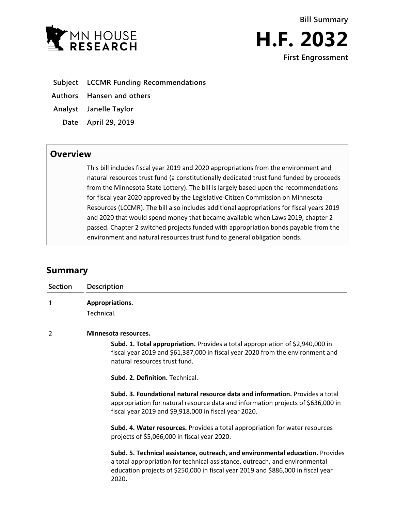



- **Subject LCCMR Funding Recommendations**
- **Authors Hansen and others**
- **Analyst Janelle Taylor**
	- **Date April 29, 2019**

## **Overview**

This bill includes fiscal year 2019 and 2020 appropriations from the environment and natural resources trust fund (a constitutionally dedicated trust fund funded by proceeds from the Minnesota State Lottery). The bill is largely based upon the recommendations for fiscal year 2020 approved by the Legislative-Citizen Commission on Minnesota Resources (LCCMR). The bill also includes additional appropriations for fiscal years 2019 and 2020 that would spend money that became available when Laws 2019, chapter 2 passed. Chapter 2 switched projects funded with appropriation bonds payable from the environment and natural resources trust fund to general obligation bonds.

# **Summary**

| <b>Section</b> | <b>Description</b>                                                                                                                                                                                                                                         |
|----------------|------------------------------------------------------------------------------------------------------------------------------------------------------------------------------------------------------------------------------------------------------------|
| 1              | Appropriations.<br>Technical.                                                                                                                                                                                                                              |
| 2              | Minnesota resources.                                                                                                                                                                                                                                       |
|                | Subd. 1. Total appropriation. Provides a total appropriation of \$2,940,000 in<br>fiscal year 2019 and \$61,387,000 in fiscal year 2020 from the environment and<br>natural resources trust fund.                                                          |
|                | Subd. 2. Definition. Technical.                                                                                                                                                                                                                            |
|                | Subd. 3. Foundational natural resource data and information. Provides a total<br>appropriation for natural resource data and information projects of \$636,000 in<br>fiscal year 2019 and \$9,918,000 in fiscal year 2020.                                 |
|                | Subd. 4. Water resources. Provides a total appropriation for water resources<br>projects of \$5,066,000 in fiscal year 2020.                                                                                                                               |
|                | Subd. 5. Technical assistance, outreach, and environmental education. Provides<br>a total appropriation for technical assistance, outreach, and environmental<br>education projects of \$250,000 in fiscal year 2019 and \$886,000 in fiscal year<br>2020. |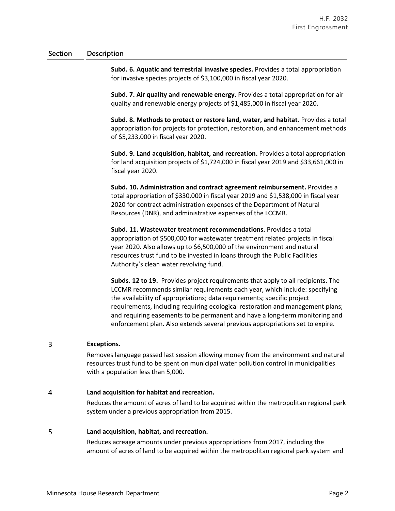### **Section Description**

**Subd. 6. Aquatic and terrestrial invasive species.** Provides a total appropriation for invasive species projects of \$3,100,000 in fiscal year 2020.

**Subd. 7. Air quality and renewable energy.** Provides a total appropriation for air quality and renewable energy projects of \$1,485,000 in fiscal year 2020.

**Subd. 8. Methods to protect or restore land, water, and habitat.** Provides a total appropriation for projects for protection, restoration, and enhancement methods of \$5,233,000 in fiscal year 2020.

**Subd. 9. Land acquisition, habitat, and recreation.** Provides a total appropriation for land acquisition projects of \$1,724,000 in fiscal year 2019 and \$33,661,000 in fiscal year 2020.

**Subd. 10. Administration and contract agreement reimbursement.** Provides a total appropriation of \$330,000 in fiscal year 2019 and \$1,538,000 in fiscal year 2020 for contract administration expenses of the Department of Natural Resources (DNR), and administrative expenses of the LCCMR.

**Subd. 11. Wastewater treatment recommendations.** Provides a total appropriation of \$500,000 for wastewater treatment related projects in fiscal year 2020. Also allows up to \$6,500,000 of the environment and natural resources trust fund to be invested in loans through the Public Facilities Authority's clean water revolving fund.

**Subds. 12 to 19.** Provides project requirements that apply to all recipients. The LCCMR recommends similar requirements each year, which include: specifying the availability of appropriations; data requirements; specific project requirements, including requiring ecological restoration and management plans; and requiring easements to be permanent and have a long-term monitoring and enforcement plan. Also extends several previous appropriations set to expire.

#### 3 **Exceptions.**

Removes language passed last session allowing money from the environment and natural resources trust fund to be spent on municipal water pollution control in municipalities with a population less than 5,000.

#### 4 **Land acquisition for habitat and recreation.**

Reduces the amount of acres of land to be acquired within the metropolitan regional park system under a previous appropriation from 2015.

#### 5 **Land acquisition, habitat, and recreation.**

Reduces acreage amounts under previous appropriations from 2017, including the amount of acres of land to be acquired within the metropolitan regional park system and